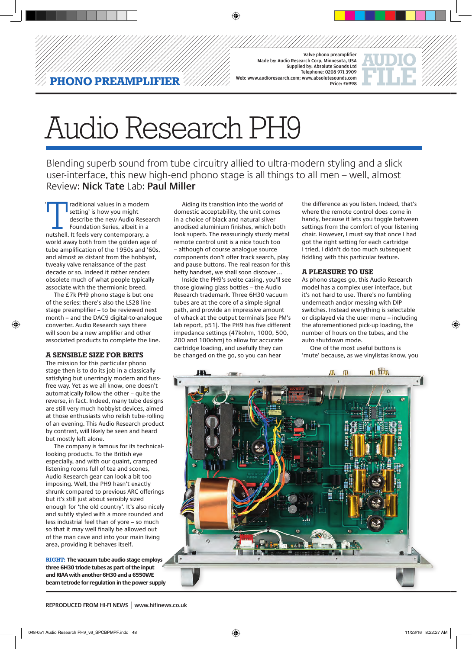#### Valve phono preamplifier Made by: Audio Research Corp, Minnesota, USA Supplied by: Absolute Sounds Ltd Telephone: 0208 971 3909 ioresearch.com: www.absolutesounds.com Price: £6998



# Audio Research PH9

**VO PREAMPLIFIER**  $\mathscr V$ 

Blending superb sound from tube circuitry allied to ultra-modern styling and a slick user-interface, this new high-end phono stage is all things to all men – well, almost Review: **Nick Tate** Lab: **Paul Miller**

◈

Fraditional values in a modern<br>
setting' is how you might<br>
describe the new Audio Resea<br>
Foundation Series, albeit in a<br>
nutshell. It feels very contemporary, a setting' is how you might describe the new Audio Research Foundation Series, albeit in a world away both from the golden age of tube amplification of the 1950s and '60s, and almost as distant from the hobbyist, tweaky valve renaissance of the past decade or so. Indeed it rather renders obsolete much of what people typically associate with the thermionic breed. '

The £7k PH9 phono stage is but one of the series: there's also the LS28 line stage preamplifier – to be reviewed next month – and the DAC9 digital-to-analogue converter. Audio Research says there will soon be a new amplifier and other associated products to complete the line.

## **a sensible size for brits**

◈

The mission for this particular phono stage then is to do its job in a classically satisfying but unerringly modern and fussfree way. Yet as we all know, one doesn't automatically follow the other – quite the reverse, in fact. Indeed, many tube designs are still very much hobbyist devices, aimed at those enthusiasts who relish tube-rolling of an evening. This Audio Research product by contrast, will likely be seen and heard but mostly left alone.

The company is famous for its technicallooking products. To the British eye especially, and with our quaint, cramped listening rooms full of tea and scones, Audio Research gear can look a bit too imposing. Well, the PH9 hasn't exactly shrunk compared to previous ARC offerings but it's still just about sensibly sized enough for 'the old country'. It's also nicely and subtly styled with a more rounded and less industrial feel than of yore – so much so that it may well finally be allowed out of the man cave and into your main living area, providing it behaves itself.

**RIGHT: The vacuum tube audio stage employs three 6H30 triode tubes as part of the input and RIAA with another 6H30 and a 6550WE beam tetrode for regulation in the power supply**

Aiding its transition into the world of domestic acceptability, the unit comes in a choice of black and natural silver anodised aluminium finishes, which both look superb. The reassuringly sturdy metal remote control unit is a nice touch too – although of course analogue source components don't offer track search, play and pause buttons. The real reason for this hefty handset, we shall soon discover…

Inside the PH9's svelte casing, you'll see those glowing glass bottles – the Audio Research trademark. Three 6H30 vacuum tubes are at the core of a simple signal path, and provide an impressive amount of whack at the output terminals [see PM's lab report, p51]. The PH9 has five different impedance settings (47kohm, 1000, 500, 200 and 100ohm) to allow for accurate cartridge loading, and usefully they can be changed on the go, so you can hear

the difference as you listen. Indeed, that's where the remote control does come in handy, because it lets you toggle between settings from the comfort of your listening chair. However, I must say that once I had got the right setting for each cartridge I tried, I didn't do too much subsequent fiddling with this particular feature.

## **a pleasure to use**

As phono stages go, this Audio Research model has a complex user interface, but it's not hard to use. There's no fumbling underneath and/or messing with DIP switches. Instead everything is selectable or displayed via the user menu – including the aforementioned pick-up loading, the number of hours on the tubes, and the auto shutdown mode.

One of the most useful buttons is 'mute' because, as we vinylistas know, you



**REPRODUCED FROM HI-FI NEWS | www.hifinews.co.uk**

◈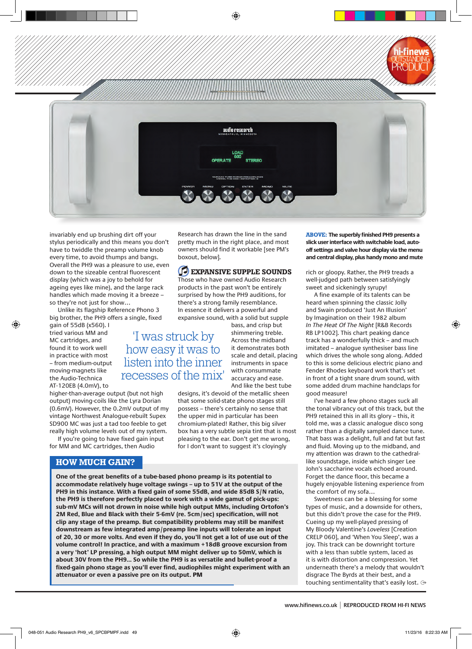

invariably end up brushing dirt off your stylus periodically and this means you don't have to twiddle the preamp volume knob every time, to avoid thumps and bangs. Overall the PH9 was a pleasure to use, even down to the sizeable central fluorescent display (which was a joy to behold for ageing eyes like mine), and the large rack handles which made moving it a breeze – so they're not just for show…

Unlike its flagship Reference Phono 3 big brother, the PH9 offers a single, fixed

gain of 55dB (x560). I tried various MM and MC cartridges, and found it to work well in practice with most – from medium-output moving-magnets like the Audio-Technica AT-120EB (4.0mV), to

◈

higher-than-average output (but not high output) moving-coils like the Lyra Dorian (0.6mV). However, the 0.2mV output of my vintage Northwest Analogue-rebuilt Supex SD900 MC was just a tad too feeble to get really high volume levels out of my system.

If you're going to have fixed gain input for MM and MC cartridges, then Audio

# **HOW MUCH GAIN?**

Research has drawn the line in the sand pretty much in the right place, and most owners should find it workable [see PM's boxout, below].

# **expansive supple sounds** Those who have owned Audio Research

products in the past won't be entirely surprised by how the PH9 auditions, for there's a strong family resemblance. In essence it delivers a powerful and expansive sound, with a solid but supple

bass, and crisp but shimmering treble. Across the midband it demonstrates both scale and detail, placing instruments in space with consummate accuracy and ease. And like the best tube 'I was struck by how easy it was to listen into the inner recesses of the mix'

designs, it's devoid of the metallic sheen that some solid-state phono stages still possess – there's certainly no sense that the upper mid in particular has been chromium-plated! Rather, this big silver box has a very subtle sepia tint that is most pleasing to the ear. Don't get me wrong, for I don't want to suggest it's cloyingly

**One of the great benefits of a tube-based phono preamp is its potential to accommodate relatively huge voltage swings – up to 51V at the output of the PH9 in this instance. With a fixed gain of some 55dB, and wide 85dB S/N ratio, the PH9 is therefore perfectly placed to work with a wide gamut of pick-ups: sub-mV MCs will not drown in noise while high output MMs, including Ortofon's 2M Red, Blue and Black with their 5-6mV (re. 5cm/sec) specification, will not clip any stage of the preamp. But compatibility problems may still be manifest downstream as few integrated amp/preamp line inputs will tolerate an input of 20, 30 or more volts. And even if they do, you'll not get a lot of use out of the volume control! In practice, and with a maximum +18dB groove excursion from a very 'hot' LP pressing, a high output MM might deliver up to 50mV, which is about 30V from the PH9... So while the PH9 is as versatile and bullet-proof a fixed-gain phono stage as you'll ever find, audiophiles might experiment with an attenuator or even a passive pre on its output.** PM

**ABOVE: The superbly finished PH9 presents a slick user interface with switchable load, autooff settings and valve hour display via the menu and central display, plus handy mono and mute**

rich or gloopy. Rather, the PH9 treads a well-judged path between satisfyingly sweet and sickeningly syrupy!

A fine example of its talents can be heard when spinning the classic Jolly and Swain produced 'Just An Illusion' by Imagination on their 1982 album *In The Heat Of The Night* [R&B Records RB LP1002]. This chart peaking dance track has a wonderfully thick – and much imitated – analogue synthesiser bass line which drives the whole song along. Added to this is some delicious electric piano and Fender Rhodes keyboard work that's set in front of a tight snare drum sound, with some added drum machine handclaps for good measure!

I've heard a few phono stages suck all the tonal vibrancy out of this track, but the PH9 retained this in all its glory – this, it told me, was a classic analogue disco song rather than a digitally sampled dance tune. That bass was a delight, full and fat but fast and fluid. Moving up to the midband, and my attention was drawn to the cathedrallike soundstage, inside which singer Lee John's saccharine vocals echoed around. Forget the dance floor, this became a hugely enjoyable listening experience from the comfort of my sofa…

Sweetness can be a blessing for some types of music, and a downside for others, but this didn't prove the case for the PH9. Cueing up my well-played pressing of My Bloody Valentine's *Loveless* [Creation CRELP 060], and 'When You Sleep', was a joy. This track can be downright torture with a less than subtle system, laced as it is with distortion and compression. Yet underneath there's a melody that wouldn't disgrace The Byrds at their best, and a touching sentimentality that's easily lost.

**www.hifinews.co.uk | REPRODUCED FROM HI-FI NEWS**

◈